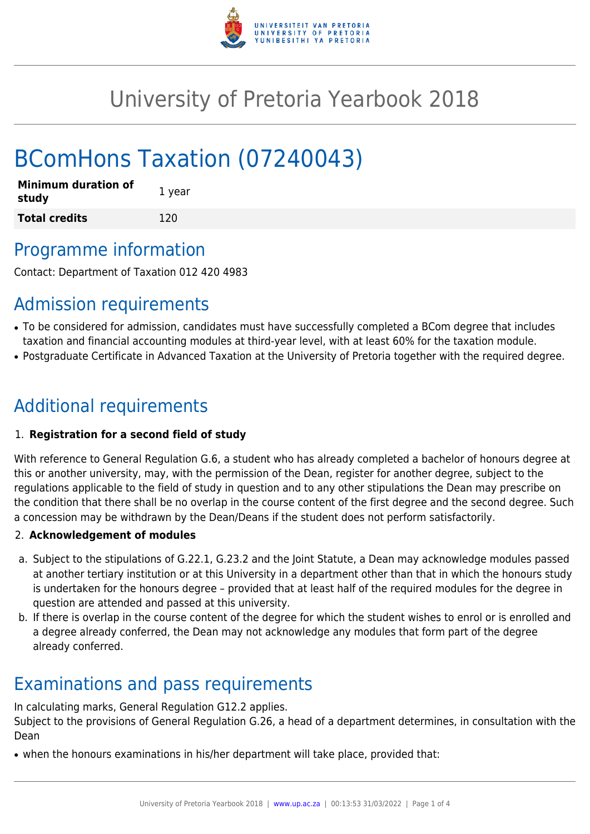

# University of Pretoria Yearbook 2018

# BComHons Taxation (07240043)

| <b>Minimum duration of</b><br>study | 1 year |
|-------------------------------------|--------|
| <b>Total credits</b>                | 120    |

## Programme information

Contact: Department of Taxation 012 420 4983

# Admission requirements

- To be considered for admission, candidates must have successfully completed a BCom degree that includes taxation and financial accounting modules at third-year level, with at least 60% for the taxation module.
- Postgraduate Certificate in Advanced Taxation at the University of Pretoria together with the required degree.

# Additional requirements

## 1. **Registration for a second field of study**

With reference to General Regulation G.6, a student who has already completed a bachelor of honours degree at this or another university, may, with the permission of the Dean, register for another degree, subject to the regulations applicable to the field of study in question and to any other stipulations the Dean may prescribe on the condition that there shall be no overlap in the course content of the first degree and the second degree. Such a concession may be withdrawn by the Dean/Deans if the student does not perform satisfactorily.

## 2. **Acknowledgement of modules**

- a. Subject to the stipulations of G.22.1, G.23.2 and the Joint Statute, a Dean may acknowledge modules passed at another tertiary institution or at this University in a department other than that in which the honours study is undertaken for the honours degree – provided that at least half of the required modules for the degree in question are attended and passed at this university.
- b. If there is overlap in the course content of the degree for which the student wishes to enrol or is enrolled and a degree already conferred, the Dean may not acknowledge any modules that form part of the degree already conferred.

## Examinations and pass requirements

In calculating marks, General Regulation G12.2 applies.

Subject to the provisions of General Regulation G.26, a head of a department determines, in consultation with the Dean

• when the honours examinations in his/her department will take place, provided that: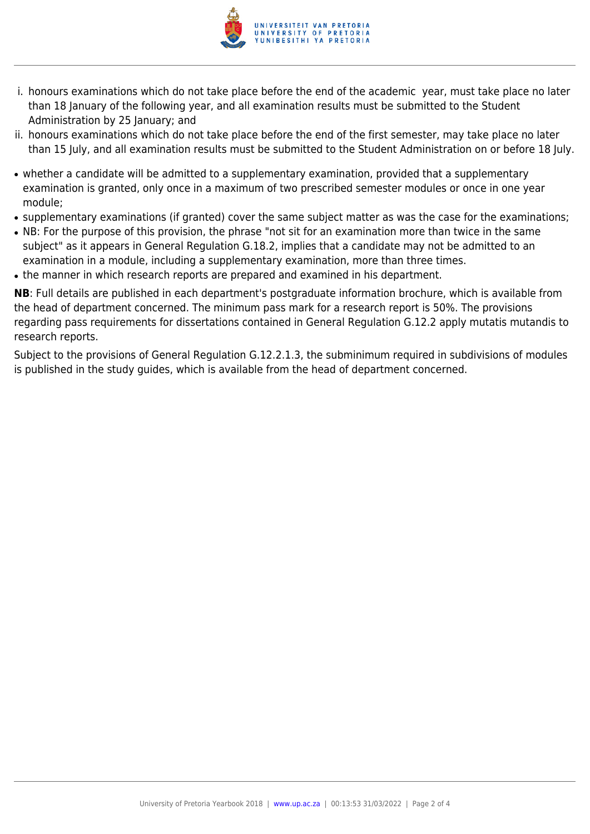

- i. honours examinations which do not take place before the end of the academic year, must take place no later than 18 January of the following year, and all examination results must be submitted to the Student Administration by 25 January; and
- ii. honours examinations which do not take place before the end of the first semester, may take place no later than 15 July, and all examination results must be submitted to the Student Administration on or before 18 July.
- whether a candidate will be admitted to a supplementary examination, provided that a supplementary examination is granted, only once in a maximum of two prescribed semester modules or once in one year module;
- supplementary examinations (if granted) cover the same subject matter as was the case for the examinations;
- NB: For the purpose of this provision, the phrase "not sit for an examination more than twice in the same subject" as it appears in General Regulation G.18.2, implies that a candidate may not be admitted to an examination in a module, including a supplementary examination, more than three times.
- the manner in which research reports are prepared and examined in his department.

**NB**: Full details are published in each department's postgraduate information brochure, which is available from the head of department concerned. The minimum pass mark for a research report is 50%. The provisions regarding pass requirements for dissertations contained in General Regulation G.12.2 apply mutatis mutandis to research reports.

Subject to the provisions of General Regulation G.12.2.1.3, the subminimum required in subdivisions of modules is published in the study guides, which is available from the head of department concerned.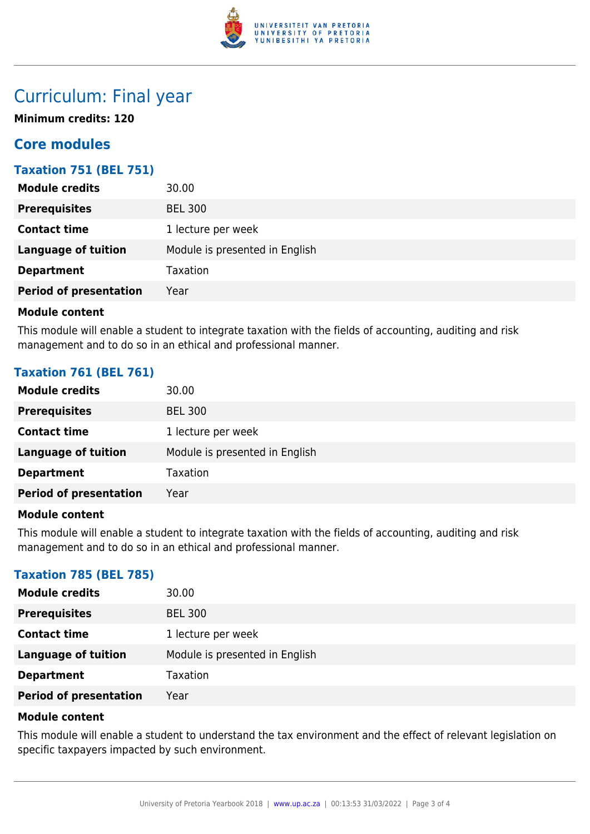

# Curriculum: Final year

**Minimum credits: 120**

## **Core modules**

## **Taxation 751 (BEL 751)**

| <b>Module credits</b>         | 30.00                          |
|-------------------------------|--------------------------------|
| <b>Prerequisites</b>          | <b>BEL 300</b>                 |
| <b>Contact time</b>           | 1 lecture per week             |
| <b>Language of tuition</b>    | Module is presented in English |
| <b>Department</b>             | Taxation                       |
| <b>Period of presentation</b> | Year                           |

## **Module content**

This module will enable a student to integrate taxation with the fields of accounting, auditing and risk management and to do so in an ethical and professional manner.

## **Taxation 761 (BEL 761)**

| <b>Module credits</b>         | 30.00                          |
|-------------------------------|--------------------------------|
| <b>Prerequisites</b>          | <b>BEL 300</b>                 |
| <b>Contact time</b>           | 1 lecture per week             |
| <b>Language of tuition</b>    | Module is presented in English |
| <b>Department</b>             | <b>Taxation</b>                |
| <b>Period of presentation</b> | Year                           |

## **Module content**

This module will enable a student to integrate taxation with the fields of accounting, auditing and risk management and to do so in an ethical and professional manner.

## **Taxation 785 (BEL 785)**

| <b>Module credits</b>         | 30.00                          |
|-------------------------------|--------------------------------|
| <b>Prerequisites</b>          | <b>BEL 300</b>                 |
| <b>Contact time</b>           | 1 lecture per week             |
| <b>Language of tuition</b>    | Module is presented in English |
| <b>Department</b>             | <b>Taxation</b>                |
| <b>Period of presentation</b> | Year                           |

## **Module content**

This module will enable a student to understand the tax environment and the effect of relevant legislation on specific taxpayers impacted by such environment.